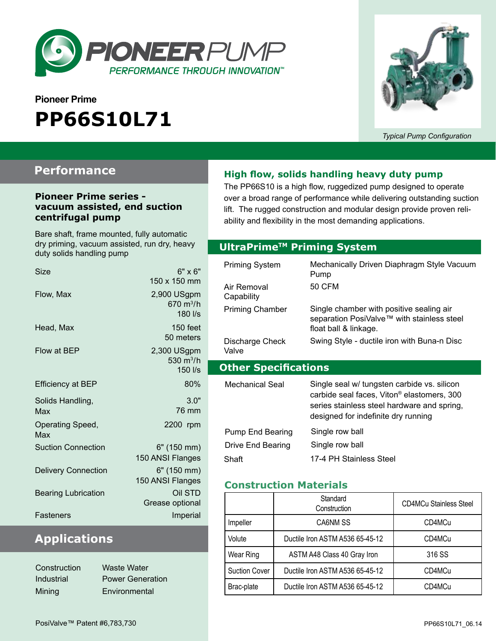

# **Pioneer Prime PP66S10L71**



*Typical Pump Configuration*

### **Performance**

#### **Pioneer Prime series vacuum assisted, end suction centrifugal pump**

Bare shaft, frame mounted, fully automatic dry priming, vacuum assisted, run dry, heavy duty solids handling pump

| Size                       | $6" \times 6"$<br>150 x 150 mm                                        |
|----------------------------|-----------------------------------------------------------------------|
| Flow, Max                  | 2,900 USgpm<br>$670 \; \mathrm{m}^3/\mathrm{h}$<br>$180$ $\text{I/s}$ |
| Head, Max                  | 150 feet<br>50 meters                                                 |
| Flow at BEP                | 2,300 USgpm<br>530 $m^3/h$<br>150 l/s                                 |
| <b>Efficiency at BEP</b>   | 80%                                                                   |
| Solids Handling,<br>Max    | 3.0"<br>76 mm                                                         |
| Operating Speed,<br>Max    | 2200 rpm                                                              |
| <b>Suction Connection</b>  | 6" (150 mm)<br>150 ANSI Flanges                                       |
| <b>Delivery Connection</b> | 6" (150 mm)<br>150 ANSI Flanges                                       |
| <b>Bearing Lubrication</b> | Oil STD<br>Grease optional                                            |
| Fasteners                  | Imperial                                                              |

# **Applications**

| Construction | Waste Water             |
|--------------|-------------------------|
| Industrial   | <b>Power Generation</b> |
| Mining       | Environmental           |

### **High flow, solids handling heavy duty pump**

The PP66S10 is a high flow, ruggedized pump designed to operate over a broad range of performance while delivering outstanding suction lift. The rugged construction and modular design provide proven reliability and flexibility in the most demanding applications.

#### **Optional Priming System UltraPrimeTM Priming System**

| Mechanically Driven Diaphragm Style Vacuum<br>Pump<br>50 CFM                                                                                         |
|------------------------------------------------------------------------------------------------------------------------------------------------------|
| Single chamber with positive sealing air<br>separation PosiValve™ with stainless steel<br>float ball & linkage.                                      |
| Swing Style - ductile iron with Buna-n Disc                                                                                                          |
| <b>Other Specifications</b>                                                                                                                          |
| Single seal w/ tungsten carbide vs. silicon<br>carbide seal faces, Viton <sup>®</sup> elastomers, 300<br>series stainless steel hardware and spring, |
| designed for indefinite dry running                                                                                                                  |
|                                                                                                                                                      |

#### **Construction Materials**

|                      | Standard<br>Construction        | <b>CD4MCu Stainless Steel</b> |
|----------------------|---------------------------------|-------------------------------|
| Impeller             | CA6NM SS                        | CD4MCu                        |
| Volute               | Ductile Iron ASTM A536 65-45-12 | CD4MCu                        |
| Wear Ring            | ASTM A48 Class 40 Gray Iron     | 316 SS                        |
| <b>Suction Cover</b> | Ductile Iron ASTM A536 65-45-12 | CD4MCu                        |
| Brac-plate           | Ductile Iron ASTM A536 65-45-12 | CD4MCu                        |